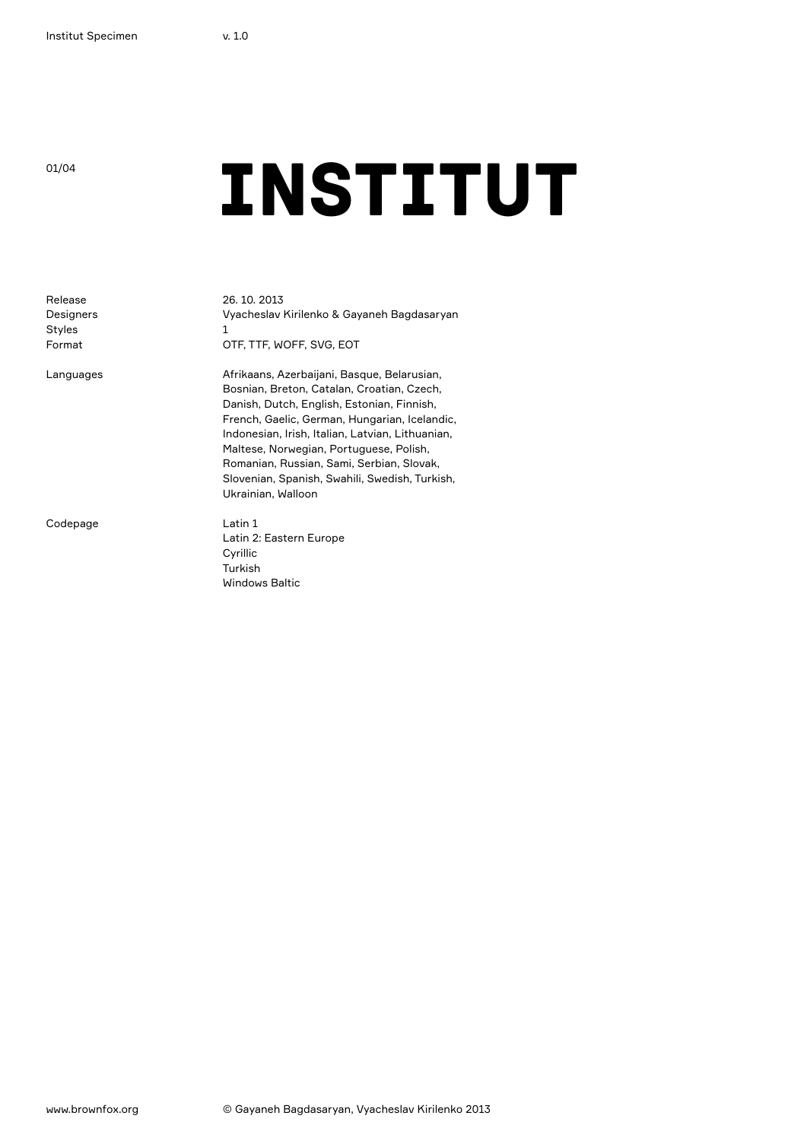Release Designers Styles Format

Languages

Codepage

## ONASTITUT

26. 10. 2013 Vyacheslav Kirilenko & Gayaneh Bagdasaryan 1 OTF, TTF, WOFF, SVG, EOT

Afrikaans, Azerbaijani, Basque, Belarusian, Bosnian, Breton, Catalan, Croatian, Czech, Danish, Dutch, English, Estonian, Finnish, French, Gaelic, German, Hungarian, Icelandic, Indonesian, Irish, Italian, Latvian, Lithuanian, Maltese, Norwegian, Portuguese, Polish, Romanian, Russian, Sami, Serbian, Slovak, Slovenian, Spanish, Swahili, Swedish, Turkish, Ukrainian, Walloon

Latin 1 Latin 2: Eastern Europe Cyrillic Turkish Windows Baltic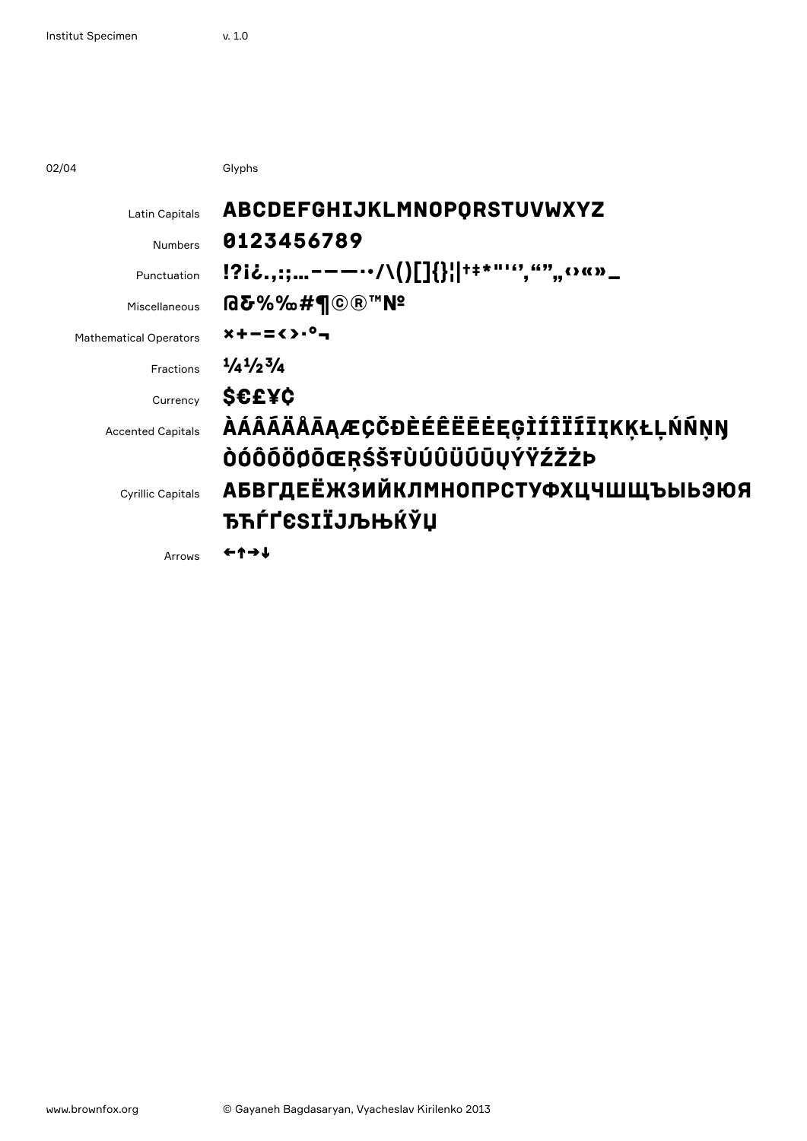02/04

Glyphs

| Latin Capitals                | ABCDEFGHIJKLMNOPORSTUVWXYZ                                                     |
|-------------------------------|--------------------------------------------------------------------------------|
| <b>Numbers</b>                | 0123456789                                                                     |
| Punctuation                   | $[?i\delta_{\cdot,\cdot;\cdot\cdot}$ = = -- $\cdot$ /\()[]{}  ++*"'","", o «»_ |
| Miscellaneous                 | <b>@&amp;%%#¶©®™N</b>                                                          |
| <b>Mathematical Operators</b> | $x + -\frac{1}{2}$ $(x - 1)^{0} -$                                             |
| Fractions                     | $\frac{1}{4}$ $\frac{1}{2}$ $\frac{3}{4}$                                      |
| Currency                      | S€E¥¢                                                                          |
| <b>Accented Capitals</b>      | <i><b>ÀÁÂĀÄÅĀĄÆÇČĐÈÉÊËĒĖĘĢÌÍÎÏĨĪĮKĶŁĻŃÑNŊ</b></i>                              |
|                               | ÒÓÔÕÖÖŌŒŖŚŠŦÙÚÛÜŨŪŲÝŸŹŽŻÞ                                                      |
| <b>Cyrillic Capitals</b>      | <b>АБВГДЕЁЖЗИЙКЛМНОПРСТУФХЦЧШЩЪЫЬЭЮЯ</b>                                       |
|                               | <b>ЂЋЃҐ</b> ЄЅӀЇЈЉЊЌЎЏ                                                         |
| Arrows                        | ←↑→↓                                                                           |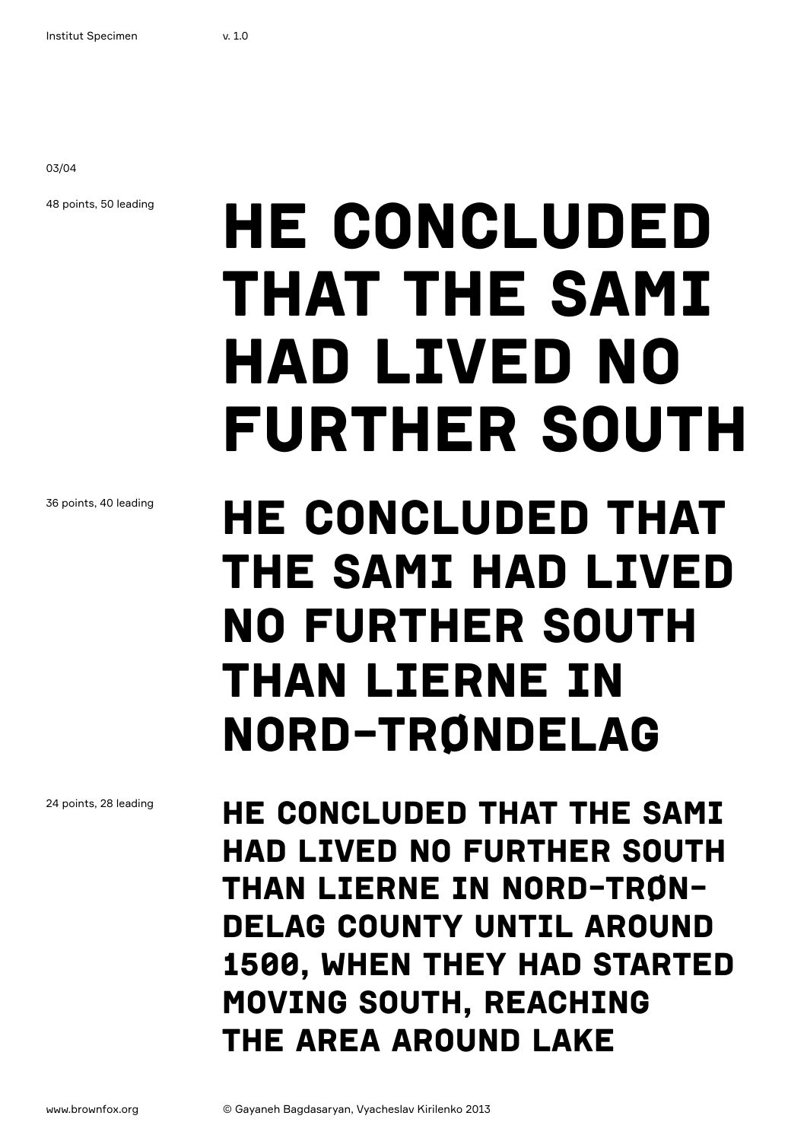03/04

48 points, 50 leading

## He concluded that the Sami had lived no further south

36 points, 40 leading

## He concluded that the Sami had lived no further south than Lierne in Nord-Trøndelag

24 points, 28 leading

He concluded that the Sami had lived no further south than Lierne in Nord-Trøndelag county until around 1500, when they had started moving south, reaching the area around Lake